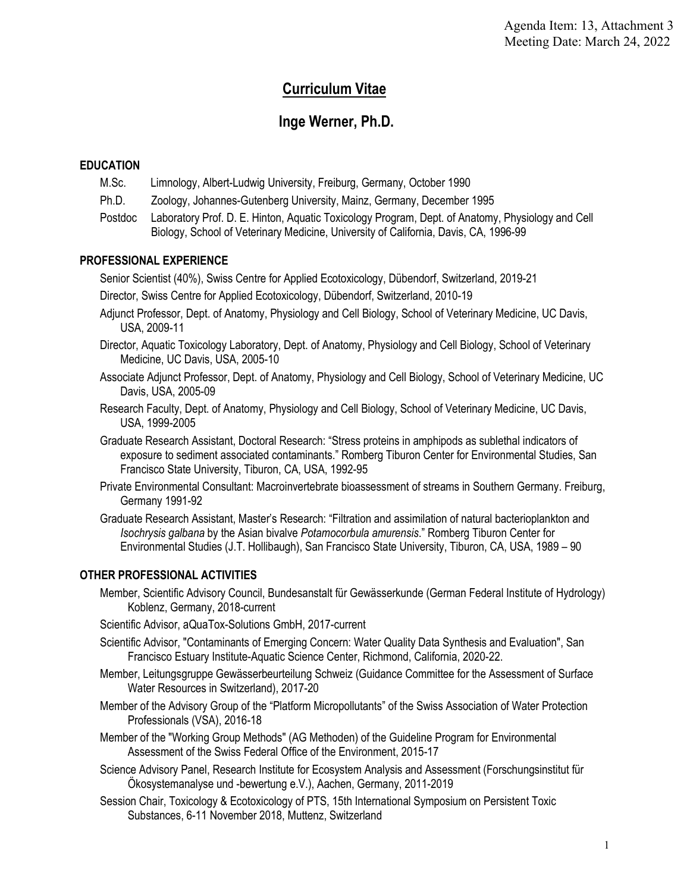# **Curriculum Vitae**

# **Inge Werner, Ph.D.**

## **EDUCATION**

- M.Sc. Limnology, Albert-Ludwig University, Freiburg, Germany, October 1990
- Ph.D. Zoology, Johannes-Gutenberg University, Mainz, Germany, December 1995
- Postdoc Laboratory Prof. D. E. Hinton, Aquatic Toxicology Program, Dept. of Anatomy, Physiology and Cell Biology, School of Veterinary Medicine, University of California, Davis, CA, 1996-99

## **PROFESSIONAL EXPERIENCE**

Senior Scientist (40%), Swiss Centre for Applied Ecotoxicology, Dübendorf, Switzerland, 2019-21

- Director, Swiss Centre for Applied Ecotoxicology, Dübendorf, Switzerland, 2010-19
- Adjunct Professor, Dept. of Anatomy, Physiology and Cell Biology, School of Veterinary Medicine, UC Davis, USA, 2009-11
- Director, Aquatic Toxicology Laboratory, Dept. of Anatomy, Physiology and Cell Biology, School of Veterinary Medicine, UC Davis, USA, 2005-10
- Associate Adjunct Professor, Dept. of Anatomy, Physiology and Cell Biology, School of Veterinary Medicine, UC Davis, USA, 2005-09
- USA, 1999-2005 Research Faculty, Dept. of Anatomy, Physiology and Cell Biology, School of Veterinary Medicine, UC Davis,
- USA, 1999-2005 Graduate Research Assistant, Doctoral Research: "Stress proteins in amphipods as sublethal indicators of exposure to sediment associated contaminants." Romberg Tiburon Center for Environmental Studies, San Francisco State University, Tiburon, CA, USA, 1992-95
- Private Environmental Consultant: Macroinvertebrate bioassessment of streams in Southern Germany. Freiburg, Germany 1991-92

 Environmental Studies (J.T. Hollibaugh), San Francisco State University, Tiburon, CA, USA, 1989 – 90 Graduate Research Assistant, Master's Research: "Filtration and assimilation of natural bacterioplankton and *Isochrysis galbana* by the Asian bivalve *Potamocorbula amurensis*." Romberg Tiburon Center for

## **OTHER PROFESSIONAL ACTIVITIES**

Member, Scientific Advisory Council, Bundesanstalt für Gewässerkunde (German Federal Institute of Hydrology) Koblenz, Germany, 2018-current

Scientific Advisor, aQuaTox-Solutions GmbH, 2017-current

- Scientific Advisor, "Contaminants of Emerging Concern: Water Quality Data Synthesis and Evaluation", San Francisco Estuary Institute-Aquatic Science Center, Richmond, California, 2020-22.
- Member, Leitungsgruppe Gewässerbeurteilung Schweiz (Guidance Committee for the Assessment of Surface Water Resources in Switzerland), 2017-20
- Member of the Advisory Group of the "Platform Micropollutants" of the Swiss Association of Water Protection Professionals (VSA), 2016-18
- Member of the "Working Group Methods" (AG Methoden) of the Guideline Program for Environmental Assessment of the Swiss Federal Office of the Environment, 2015-17
- Science Advisory Panel, Research Institute for Ecosystem Analysis and Assessment (Forschungsinstitut für Ökosystemanalyse und -bewertung e.V.), Aachen, Germany, 2011-2019
- Session Chair, Toxicology & Ecotoxicology of PTS, 15th International Symposium on Persistent Toxic Substances, 6-11 November 2018, Muttenz, Switzerland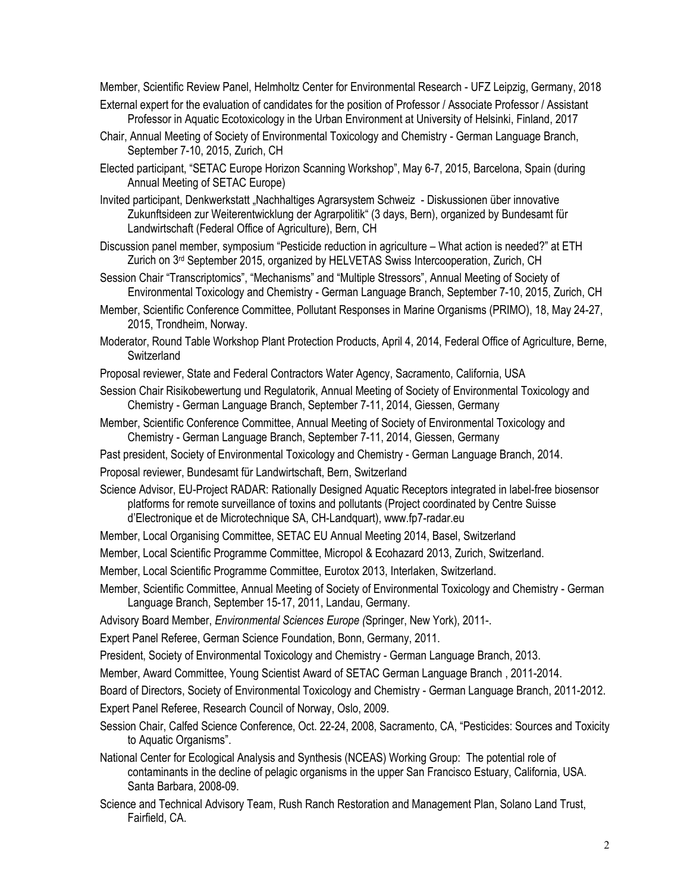Member, Scientific Review Panel, Helmholtz Center for Environmental Research - UFZ Leipzig, Germany, 2018 External expert for the evaluation of candidates for the position of Professor / Associate Professor / Assistant

- Professor in Aquatic Ecotoxicology in the Urban Environment at University of Helsinki, Finland, 2017
- Chair, Annual Meeting of Society of Environmental Toxicology and Chemistry German Language Branch, September 7-10, 2015, Zurich, CH
- Elected participant, "SETAC Europe Horizon Scanning Workshop", May 6-7, 2015, Barcelona, Spain (during Annual Meeting of SETAC Europe)

Invited participant, Denkwerkstatt "Nachhaltiges Agrarsystem Schweiz - Diskussionen über innovative Zukunftsideen zur Weiterentwicklung der Agrarpolitik" (3 days, Bern), organized by Bundesamt für Landwirtschaft (Federal Office of Agriculture), Bern, CH

Discussion panel member, symposium "Pesticide reduction in agriculture – What action is needed?" at ETH Zurich on 3<sup>rd</sup> September 2015, organized by HELVETAS Swiss Intercooperation, Zurich, CH

Session Chair "Transcriptomics", "Mechanisms" and "Multiple Stressors", Annual Meeting of Society of Environmental Toxicology and Chemistry - German Language Branch, September 7-10, 2015, Zurich, CH

- Member, Scientific Conference Committee, Pollutant Responses in Marine Organisms (PRIMO), 18, May 24-27, 2015, Trondheim, Norway.
- Moderator, Round Table Workshop Plant Protection Products, April 4, 2014, Federal Office of Agriculture, Berne, **Switzerland**

Proposal reviewer, State and Federal Contractors Water Agency, Sacramento, California, USA

- Session Chair Risikobewertung und Regulatorik, Annual Meeting of Society of Environmental Toxicology and Chemistry - German Language Branch, September 7-11, 2014, Giessen, Germany
- Member, Scientific Conference Committee, Annual Meeting of Society of Environmental Toxicology and Chemistry - German Language Branch, September 7-11, 2014, Giessen, Germany

Past president, Society of Environmental Toxicology and Chemistry - German Language Branch, 2014.

Proposal reviewer, Bundesamt für Landwirtschaft, Bern, Switzerland

Science Advisor, EU-Project RADAR: Rationally Designed Aquatic Receptors integrated in label-free biosensor platforms for remote surveillance of toxins and pollutants (Project coordinated by Centre Suisse d'Electronique et de Microtechnique SA, CH-Landquart),<www.fp7-radar.eu>

Member, Local Organising Committee, SETAC EU Annual Meeting 2014, Basel, Switzerland

Member, Local Scientific Programme Committee, Micropol & Ecohazard 2013, Zurich, Switzerland.

Member, Local Scientific Programme Committee, Eurotox 2013, Interlaken, Switzerland.

Member, Scientific Committee, Annual Meeting of Society of Environmental Toxicology and Chemistry - German Language Branch, September 15-17, 2011, Landau, Germany.

Advisory Board Member, *Environmental Sciences Europe (*Springer, New York), 2011-.

Expert Panel Referee, German Science Foundation, Bonn, Germany, 2011.

President, Society of Environmental Toxicology and Chemistry - German Language Branch, 2013.

Member, Award Committee, Young Scientist Award of SETAC German Language Branch , 2011-2014.

Board of Directors, Society of Environmental Toxicology and Chemistry - German Language Branch, 2011-2012. Expert Panel Referee, Research Council of Norway, Oslo, 2009.

Session Chair, Calfed Science Conference, Oct. 22-24, 2008, Sacramento, CA, "Pesticides: Sources and Toxicity to Aquatic Organisms".

National Center for Ecological Analysis and Synthesis (NCEAS) Working Group: The potential role of contaminants in the decline of pelagic organisms in the upper San Francisco Estuary, California, USA. Santa Barbara, 2008-09.

Science and Technical Advisory Team, Rush Ranch Restoration and Management Plan, Solano Land Trust, Fairfield, CA.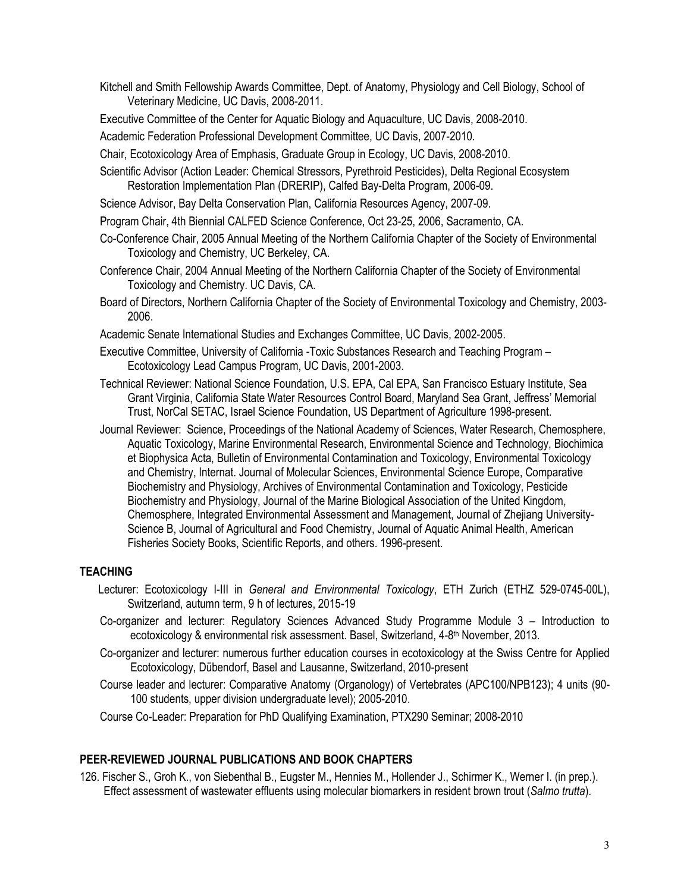Kitchell and Smith Fellowship Awards Committee, Dept. of Anatomy, Physiology and Cell Biology, School of Veterinary Medicine, UC Davis, 2008-2011.

Executive Committee of the Center for Aquatic Biology and Aquaculture, UC Davis, 2008-2010.

Academic Federation Professional Development Committee, UC Davis, 2007-2010.

Chair, Ecotoxicology Area of Emphasis, Graduate Group in Ecology, UC Davis, 2008-2010.

- Scientific Advisor (Action Leader: Chemical Stressors, Pyrethroid Pesticides), Delta Regional Ecosystem Restoration Implementation Plan (DRERIP), Calfed Bay-Delta Program, 2006-09.
- Science Advisor, Bay Delta Conservation Plan, California Resources Agency, 2007-09.
- Program Chair, 4th Biennial CALFED Science Conference, Oct 23-25, 2006, Sacramento, CA.
- Co-Conference Chair, 2005 Annual Meeting of the Northern California Chapter of the Society of Environmental Toxicology and Chemistry, UC Berkeley, CA.
- Conference Chair, 2004 Annual Meeting of the Northern California Chapter of the Society of Environmental Toxicology and Chemistry. UC Davis, CA.
- Board of Directors, Northern California Chapter of the Society of Environmental Toxicology and Chemistry, 2003- 2006.
- Academic Senate International Studies and Exchanges Committee, UC Davis, 2002-2005.
- Executive Committee, University of California -Toxic Substances Research and Teaching Program Ecotoxicology Lead Campus Program, UC Davis, 2001-2003.
- Technical Reviewer: National Science Foundation, U.S. EPA, Cal EPA, San Francisco Estuary Institute, Sea Grant Virginia, California State Water Resources Control Board, Maryland Sea Grant, Jeffress' Memorial Trust, NorCal SETAC, Israel Science Foundation, US Department of Agriculture 1998-present.
- Journal Reviewer: Science, Proceedings of the National Academy of Sciences, Water Research, Chemosphere, Aquatic Toxicology, Marine Environmental Research, Environmental Science and Technology, Biochimica et Biophysica Acta, Bulletin of Environmental Contamination and Toxicology, Environmental Toxicology and Chemistry, Internat. Journal of Molecular Sciences, Environmental Science Europe, Comparative Biochemistry and Physiology, Archives of Environmental Contamination and Toxicology, Pesticide Biochemistry and Physiology, Journal of the Marine Biological Association of the United Kingdom, Chemosphere, Integrated Environmental Assessment and Management, Journal of Zhejiang University-Science B, Journal of Agricultural and Food Chemistry, Journal of Aquatic Animal Health, American Fisheries Society Books, Scientific Reports, and others. 1996-present.

#### **TEACHING**

- Lecturer: Ecotoxicology I-III in *General and Environmental Toxicology*, ETH Zurich (ETHZ 529-0745-00L), Switzerland, autumn term, 9 h of lectures, 2015-19
- Co-organizer and lecturer: Regulatory Sciences Advanced Study Programme Module 3 Introduction to ecotoxicology & environmental risk assessment. Basel, Switzerland, 4-8<sup>th</sup> November, 2013.
- Co-organizer and lecturer: numerous further education courses in ecotoxicology at the Swiss Centre for Applied Ecotoxicology, Dübendorf, Basel and Lausanne, Switzerland, 2010-present
- Course leader and lecturer: Comparative Anatomy (Organology) of Vertebrates (APC100/NPB123); 4 units (90- 100 students, upper division undergraduate level); 2005-2010.
- Course Co-Leader: Preparation for PhD Qualifying Examination, PTX290 Seminar; 2008-2010

#### **PEER-REVIEWED JOURNAL PUBLICATIONS AND BOOK CHAPTERS**

 126. Fischer S., Groh K., von Siebenthal B., Eugster M., Hennies M., Hollender J., Schirmer K., Werner I. (in prep.). Effect assessment of wastewater effluents using molecular biomarkers in resident brown trout (*Salmo trutta*).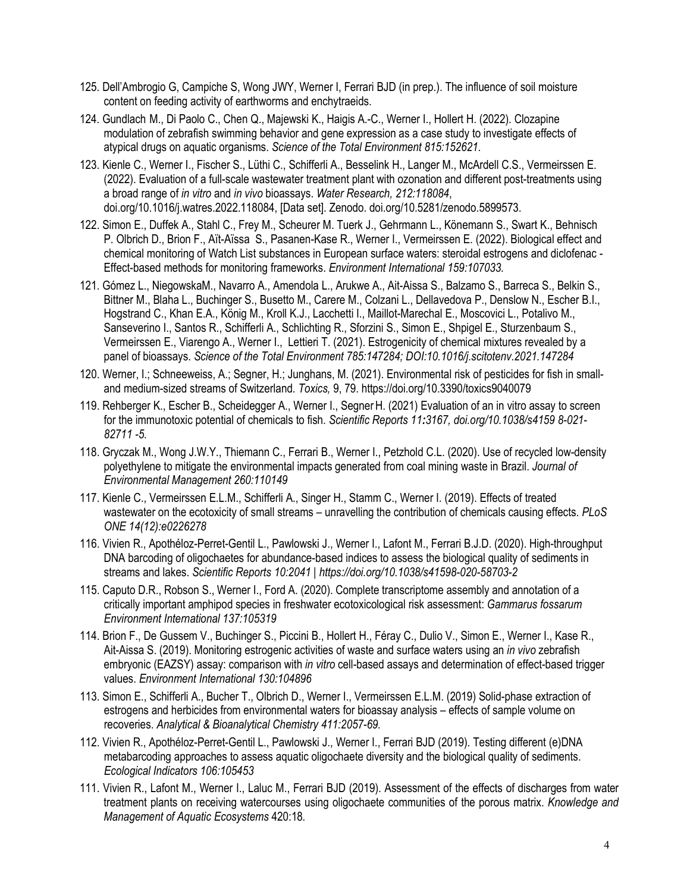- 125. Dell'Ambrogio G, Campiche S, Wong JWY, Werner I, Ferrari BJD (in prep.). The influence of soil moisture content on feeding activity of earthworms and enchytraeids.
- 124. Gundlach M., Di Paolo C., Chen Q., Majewski K., Haigis A.-C., Werner I., Hollert H. (2022). Clozapine modulation of zebrafish swimming behavior and gene expression as a case study to investigate effects of atypical drugs on aquatic organisms. *Science of the Total Environment 815:152621*.
- 123. Kienle C., Werner I., Fischer S., Lüthi C., Schifferli A., Besselink H., Langer M., McArdell C.S., Vermeirssen E. (2022). Evaluation of a full-scale wastewater treatment plant with ozonation and different post-treatments using a broad range of *in vitro* and *in vivo* bioassays. *Water Research, 212:118084*, [doi.org/10.1016/j.watres.2022.118084,](https://doi.org/10.1016/j.watres.2022.118084) [Data set]. Zenodo. [doi.org/10.5281/zenodo.5899573](https://doi.org/10.5281/zenodo.5899573).
- 122. Simon E., Duffek A., Stahl C., Frey M., Scheurer M. Tuerk J., Gehrmann L., Könemann S., Swart K., Behnisch P. Olbrich D., Brion F., Aït-Aïssa S., Pasanen-Kase R., Werner I., Vermeirssen E. (2022). Biological effect and chemical monitoring of Watch List substances in European surface waters: steroidal estrogens and diclofenac - Effect-based methods for monitoring frameworks. *Environment International 159:107033.*
- 121. Gómez L., NiegowskaM., Navarro A., Amendola L., Arukwe A., Ait-Aissa S., Balzamo S., Barreca S., Belkin S., Bittner M., Blaha L., Buchinger S., Busetto M., Carere M., Colzani L., Dellavedova P., Denslow N., Escher B.I., Hogstrand C., Khan E.A., König M., Kroll K.J., Lacchetti I., Maillot-Marechal E., Moscovici L., Potalivo M., Sanseverino I., Santos R., Schifferli A., Schlichting R., Sforzini S., Simon E., Shpigel E., Sturzenbaum S., Vermeirssen E., Viarengo A., Werner I., Lettieri T. (2021). Estrogenicity of chemical mixtures revealed by a panel of bioassays. *Science of the Total Environment 785:147284; DOI:10.1016/j.scitotenv.2021.147284*
- 120. Werner, I.; Schneeweiss, A.; Segner, H.; Junghans, M. (2021). Environmental risk of pesticides for fish in smalland medium-sized streams of Switzerland. *Toxics,* 9, 79.<https://doi.org/10.3390/toxics9040079>
- 119. Rehberger K., Escher B., Scheidegger A., Werner I., Segner H. (2021) Evaluation of an in vitro assay to screen for the immunotoxic potential of chemicals to fish. *Scientific Reports 11:3167, [doi.org/10.1038/s4159](https://doi.org/10.1038/s4159) 8-021- 82711 -5.*
- 118. Gryczak M., Wong J.W.Y., Thiemann C., Ferrari B., Werner I., Petzhold C.L. (2020). Use of recycled low-density polyethylene to mitigate the environmental impacts generated from coal mining waste in Brazil. *Journal of Environmental Management 260:110149*
- 117. Kienle C., Vermeirssen E.L.M., Schifferli A., Singer H., Stamm C., Werner I. (2019). Effects of treated wastewater on the ecotoxicity of small streams – unravelling the contribution of chemicals causing effects. *PLoS ONE 14(12):e0226278*
- 116. Vivien R., Apothéloz-Perret-Gentil L., Pawlowski J., Werner I., Lafont M., Ferrari B.J.D. (2020). High-throughput DNA barcoding of oligochaetes for abundance-based indices to assess the biological quality of sediments in streams and lakes. *Scientific Reports 10:2041 |<https://doi.org/10.1038/s41598-020-58703-2>*
- 115. Caputo D.R., Robson S., Werner I., Ford A. (2020). Complete transcriptome assembly and annotation of a critically important amphipod species in freshwater ecotoxicological risk assessment: *Gammarus fossarum Environment International 137:105319*
- 114. Brion F., De Gussem V., Buchinger S., Piccini B., Hollert H., Féray C., Dulio V., Simon E., Werner I., Kase R., Ait-Aissa S. (2019). Monitoring estrogenic activities of waste and surface waters using an *in vivo* zebrafish embryonic (EAZSY) assay: comparison with *in vitro* cell-based assays and determination of effect-based trigger values. *Environment International 130:104896*
- 113. Simon E., Schifferli A., Bucher T., Olbrich D., Werner I., Vermeirssen E.L.M. (2019) Solid-phase extraction of estrogens and herbicides from environmental waters for bioassay analysis – effects of sample volume on recoveries. *Analytical & Bioanalytical Chemistry 411:2057-69.*
- 112. Vivien R., Apothéloz-Perret-Gentil L., Pawlowski J., Werner I., Ferrari BJD (2019). Testing different (e)DNA metabarcoding approaches to assess aquatic oligochaete diversity and the biological quality of sediments. *Ecological Indicators 106:105453*
- 111. Vivien R., Lafont M., Werner I., Laluc M., Ferrari BJD (2019). Assessment of the effects of discharges from water treatment plants on receiving watercourses using oligochaete communities of the porous matrix. *Knowledge and Management of Aquatic Ecosystems* 420:18*.*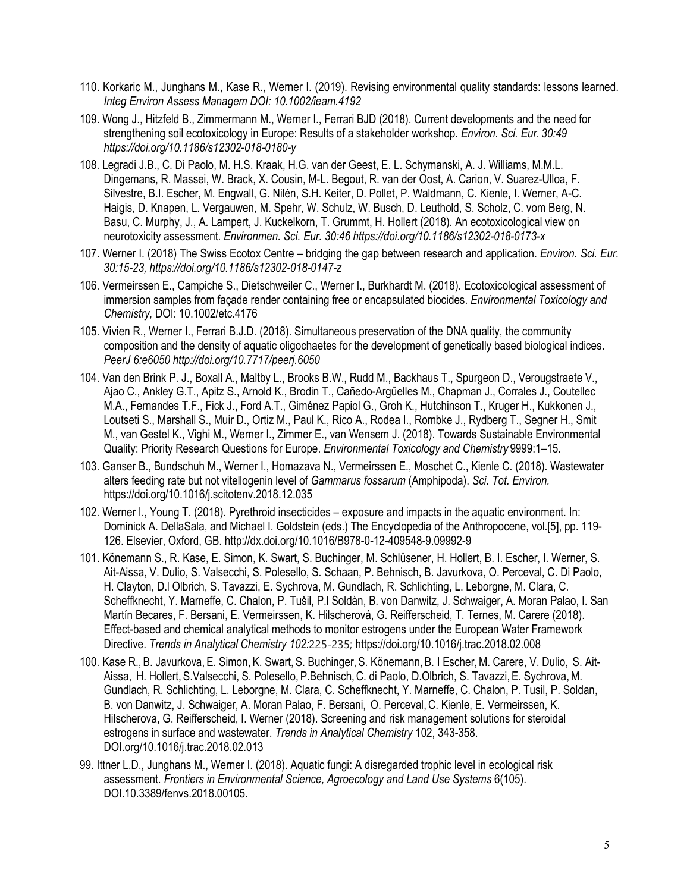- 110. Korkaric M., Junghans M., Kase R., Werner I. (2019). Revising environmental quality standards: lessons learned. *Integ Environ Assess Managem DOI: 10.1002/ieam.4192*
- 109. Wong J., Hitzfeld B., Zimmermann M., Werner I., Ferrari BJD (2018). Current developments and the need for strengthening soil ecotoxicology in Europe: Results of a stakeholder workshop. *Environ. Sci. Eur. 30:49 <https://doi.org/10.1186/s12302-018-0180-y>*
- 108. Legradi J.B., C. Di Paolo, M. H.S. Kraak, H.G. van der Geest, E. L. Schymanski, A. J. Williams, M.M.L. Dingemans, R. Massei, W. Brack, X. Cousin, M-L. Begout, R. van der Oost, A. Carion, V. Suarez-Ulloa, F. Silvestre, B.I. Escher, M. Engwall, G. Nilén, S.H. Keiter, D. Pollet, P. Waldmann, C. Kienle, I. Werner, A-C. Haigis, D. Knapen, L. Vergauwen, M. Spehr, W. Schulz, W. Busch, D. Leuthold, S. Scholz, C. vom Berg, N. Basu, C. Murphy, J., A. Lampert, J. Kuckelkorn, T. Grummt, H. Hollert (2018). An ecotoxicological view on neurotoxicity assessment. *Environmen. Sci. Eur. 30:46<https://doi.org/10.1186/s12302-018-0173-x>*
- 107. Werner I. (2018) The Swiss Ecotox Centre bridging the gap between research and application. *Environ. Sci. Eur. 30:15-23, <https://doi.org/10.1186/s12302-018-0147-z>*
- 106. Vermeirssen E., Campiche S., Dietschweiler C., Werner I., Burkhardt M. (2018). Ecotoxicological assessment of immersion samples from façade render containing free or encapsulated biocides. *Environmental Toxicology and Chemistry,* DOI: 10.1002/etc.4176
- 105. Vivien R., Werner I., Ferrari B.J.D. (2018). Simultaneous preservation of the DNA quality, the community composition and the density of aquatic oligochaetes for the development of genetically based biological indices. *PeerJ 6:e6050<http://doi.org/10.7717/peerj.6050>*
- 104. Van den Brink P. J., Boxall A., Maltby L., Brooks B.W., Rudd M., Backhaus T., Spurgeon D., Verougstraete V., Ajao C., Ankley G.T., Apitz S., Arnold K., Brodin T., Cañedo-Argüelles M., Chapman J., Corrales J., Coutellec M.A., Fernandes T.F., Fick J., Ford A.T., Giménez Papiol G., Groh K., Hutchinson T., Kruger H., Kukkonen J., Loutseti S., Marshall S., Muir D., Ortiz M., Paul K., Rico A., Rodea I., Rombke J., Rydberg T., Segner H., Smit M., van Gestel K., Vighi M., Werner I., Zimmer E., van Wensem J. (2018). Towards Sustainable Environmental Quality: Priority Research Questions for Europe. *Environmental Toxicology and Chemistry* 9999:1–15.
- 103. Ganser B., Bundschuh M., Werner I., Homazava N., Vermeirssen E., Moschet C., Kienle C. (2018). Wastewater alters feeding rate but not vitellogenin level of *Gammarus fossarum* (Amphipoda). *Sci. Tot. Environ.*  <https://doi.org/10.1016/j.scitotenv.2018.12.035>
- 102. Werner I., Young T. (2018). Pyrethroid insecticides exposure and impacts in the aquatic environment. In: Dominick A. DellaSala, and Michael I. Goldstein (eds.) The Encyclopedia of the Anthropocene, vol.[5], pp. 119- 126. Elsevier, Oxford, GB. <http://dx.doi.org/10.1016/B978-0-12-409548-9.09992-9>
- 101. Könemann S., R. Kase, E. Simon, K. Swart, S. Buchinger, M. Schlüsener, H. Hollert, B. I. Escher, I. Werner, S. Ait-Aissa, V. Dulio, S. Valsecchi, S. Polesello, S. Schaan, P. Behnisch, B. Javurkova, O. Perceval, C. Di Paolo, H. Clayton, D.l Olbrich, S. Tavazzi, E. Sychrova, M. Gundlach, R. Schlichting, L. Leborgne, M. Clara, C. Scheffknecht, Y. Marneffe, C. Chalon, P. Tušil, P.l Soldàn, B. von Danwitz, J. Schwaiger, A. Moran Palao, I. San Martín Becares, F. Bersani, E. Vermeirssen, K. Hilscherová, G. Reifferscheid, T. Ternes, M. Carere (2018). Effect-based and chemical analytical methods to monitor estrogens under the European Water Framework Directive. *Trends in Analytical Chemistry 102:*225-235; <https://doi.org/10.1016/j.trac.2018.02.008>
- 100. Kase R., B. Javurkova, E. Simon, K. Swart, S. Buchinger, S. Könemann, B. I Escher, M. Carere, V. Dulio, S. Ait-Aissa, H. Hollert, S.Valsecchi, S. Polesello, P.Behnisch, C. di Paolo, D.Olbrich, S. Tavazzi, E. Sychrova, M. Gundlach, R. Schlichting, L. Leborgne, M. Clara, C. Scheffknecht, Y. Marneffe, C. Chalon, P. Tusil, P. Soldan, B. von Danwitz, J. Schwaiger, A. Moran Palao, F. Bersani, O. Perceval, C. Kienle, E. Vermeirssen, K. Hilscherova, G. Reifferscheid, I. Werner (2018). Screening and risk management solutions for steroidal estrogens in surface and wastewater. *Trends in Analytical Chemistry* 102, 343-358. [DOI.org/10.1016/j.trac.2018.02.013](https://DOI.org/10.1016/j.trac.2018.02.013)
- 99. Ittner L.D., Junghans M., Werner I. (2018). Aquatic fungi: A disregarded trophic level in ecological risk assessment. *Frontiers in Environmental Science, Agroecology and Land Use Systems* 6(105). DOI.10.3389/fenvs.2018.00105.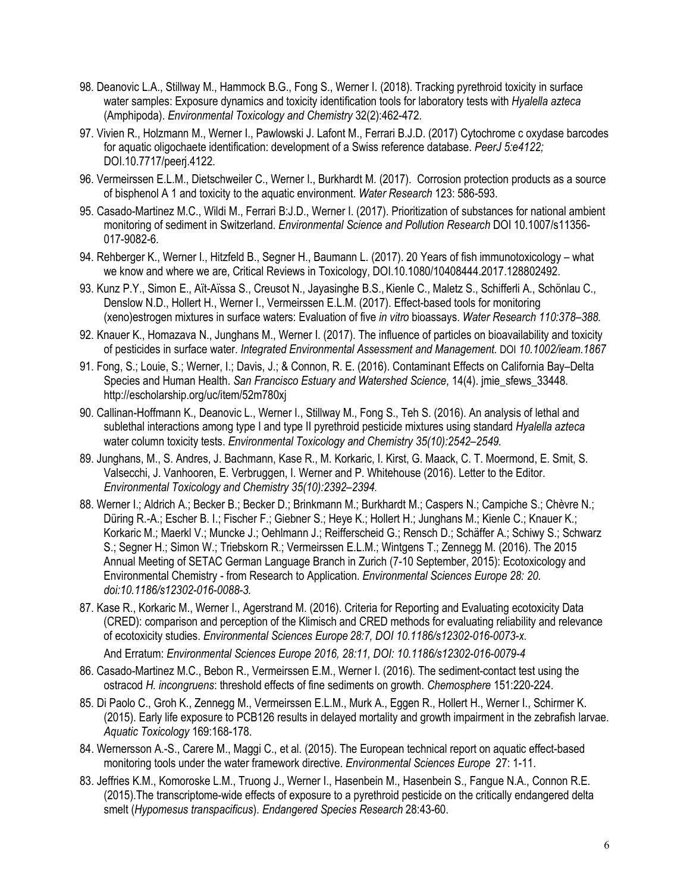- 98. Deanovic L.A., Stillway M., Hammock B.G., Fong S., Werner I. (2018). Tracking pyrethroid toxicity in surface water samples: Exposure dynamics and toxicity identification tools for laboratory tests with *Hyalella azteca*  (Amphipoda). *Environmental Toxicology and Chemistry* 32(2):462-472*.*
- 97. Vivien R., Holzmann M., Werner I., Pawlowski J. Lafont M., Ferrari B.J.D. (2017) Cytochrome c oxydase barcodes for aquatic oligochaete identification: development of a Swiss reference database. *PeerJ 5:e4122;*  DOI.10.7717/peerj.4122.
- 96. Vermeirssen E.L.M., Dietschweiler C., Werner I., Burkhardt M. (2017). Corrosion protection products as a source of bisphenol A 1 and toxicity to the aquatic environment. *Water Research* 123: 586-593.
- 95. Casado-Martinez M.C., Wildi M., Ferrari B:J.D., Werner I. (2017). Prioritization of substances for national ambient monitoring of sediment in Switzerland. *Environmental Science and Pollution Research* DOI 10.1007/s11356- 017-9082-6.
- 94. Rehberger K., Werner I., Hitzfeld B., Segner H., Baumann L. (2017). 20 Years of fish immunotoxicology what we know and where we are, Critical Reviews in Toxicology, DOI.10.1080/10408444.2017.128802492.
- 93. Kunz P.Y., Simon E., Aït-Aïssa S., Creusot N., Jayasinghe B.S., Kienle C., Maletz S., Schifferli A., Schönlau C., Denslow N.D., Hollert H., Werner I., Vermeirssen E.L.M. (2017). Effect-based tools for monitoring (xeno)estrogen mixtures in surface waters: Evaluation of five *in vitro* bioassays. *Water Research 110:378–388.*
- 92. Knauer K., Homazava N., Junghans M., Werner I. (2017). The influence of particles on bioavailability and toxicity of pesticides in surface water. *Integrated Environmental Assessment and Management.* DOI *10.1002/ieam.1867*
- 91. Fong, S.; Louie, S.; Werner, I.; Davis, J.; & Connon, R. E. (2016). Contaminant Effects on California Bay–Delta Species and Human Health. *San Francisco Estuary and Watershed Science*, 14(4). jmie\_sfews\_33448. <http://escholarship.org/uc/item/52m780xj>
- 90. Callinan-Hoffmann K., Deanovic L., Werner I., Stillway M., Fong S., Teh S. (2016). An analysis of lethal and sublethal interactions among type I and type II pyrethroid pesticide mixtures using standard *Hyalella azteca*  water column toxicity tests. *Environmental Toxicology and Chemistry 35(10):2542–2549.*
- 89. Junghans, M., S. Andres, J. Bachmann, Kase R., M. Korkaric, I. Kirst, G. Maack, C. T. Moermond, E. Smit, S. Valsecchi, J. Vanhooren, E. Verbruggen, I. Werner and P. Whitehouse (2016). Letter to the Editor. *Environmental Toxicology and Chemistry 35(10):2392–2394.*
- 88. Werner I.; Aldrich A.; Becker B.; Becker D.; Brinkmann M.; Burkhardt M.; Caspers N.; Campiche S.; Chèvre N.; Düring R.-A.; Escher B. I.; Fischer F.; Giebner S.; Heye K.; Hollert H.; Junghans M.; Kienle C.; Knauer K.; Korkaric M.; Maerkl V.; Muncke J.; Oehlmann J.; Reifferscheid G.; Rensch D.; Schäffer A.; Schiwy S.; Schwarz S.; Segner H.; Simon W.; Triebskorn R.; Vermeirssen E.L.M.; Wintgens T.; Zennegg M. (2016). The 2015 Annual Meeting of SETAC German Language Branch in Zurich (7-10 September, 2015): Ecotoxicology and Environmental Chemistry - from Research to Application. *Environmental Sciences Europe 28: 20. doi:10.1186/s12302-016-0088-3.*
- 87. Kase R., Korkaric M., Werner I., Agerstrand M. (2016). Criteria for Reporting and Evaluating ecotoxicity Data (CRED): comparison and perception of the Klimisch and CRED methods for evaluating reliability and relevance of ecotoxicity studies. *Environmental Sciences Europe 28:7, DOI 10.1186/s12302-016-0073-x.*

And Erratum: *Environmental Sciences Europe 2016, 28:11, DOI: 10.1186/s12302-016-0079-4* 

- 86. Casado-Martinez M.C., Bebon R., Vermeirssen E.M., Werner I. (2016). The sediment-contact test using the ostracod *H. incongruens*: threshold effects of fine sediments on growth. *Chemosphere* 151:220-224.
- 85. Di Paolo C., Groh K., Zennegg M., Vermeirssen E.L.M., Murk A., Eggen R., Hollert H., Werner I., Schirmer K. (2015). Early life exposure to PCB126 results in delayed mortality and growth impairment in the zebrafish larvae. *Aquatic Toxicology* 169:168-178.
- 84. Wernersson A.-S., Carere M., Maggi C., et al. (2015). The European technical report on aquatic effect-based monitoring tools under the water framework directive. *Environmental Sciences Europe* 27: 1-11.
- 83. Jeffries K.M., Komoroske L.M., Truong J., Werner I., Hasenbein M., Hasenbein S., Fangue N.A., Connon R.E. (2015).The transcriptome-wide effects of exposure to a pyrethroid pesticide on the critically endangered delta smelt (*Hypomesus transpacificus*). *Endangered Species Research* 28:43-60.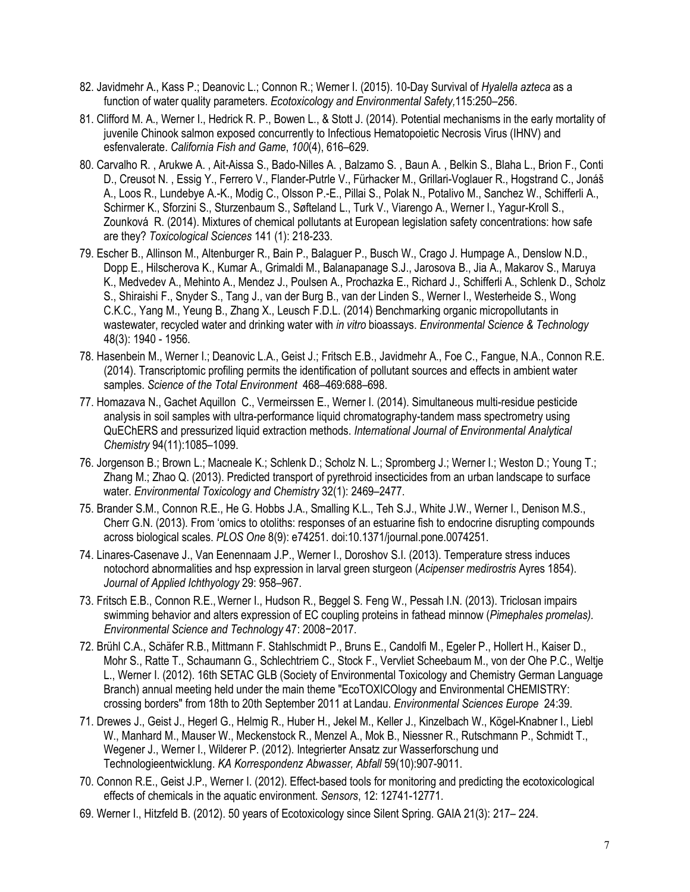- 82. Javidmehr A., Kass P.; Deanovic L.; Connon R.; Werner I. (2015). 10-Day Survival of *Hyalella azteca* as a function of water quality parameters. *Ecotoxicology and Environmental Safety,*115:250–256.
- 81. Clifford M. A., Werner I., Hedrick R. P., Bowen L., & Stott J. (2014). Potential mechanisms in the early mortality of juvenile Chinook salmon exposed concurrently to Infectious Hematopoietic Necrosis Virus (IHNV) and esfenvalerate. *California Fish and Game*, *100*(4), 616–629.
- 80. Carvalho R. , Arukwe A. , Ait-Aissa S., Bado-Nilles A. , Balzamo S. , Baun A. , Belkin S., Blaha L., Brion F., Conti D., Creusot N. , Essig Y., Ferrero V., Flander-Putrle V., Fürhacker M., Grillari-Voglauer R., Hogstrand C., Jonáš A., Loos R., Lundebye A.-K., Modig C., Olsson P.-E., Pillai S., Polak N., Potalivo M., Sanchez W., Schifferli A., Schirmer K., Sforzini S., Sturzenbaum S., Søfteland L., Turk V., Viarengo A., Werner I., Yagur-Kroll S., Zounková R. (2014). Mixtures of chemical pollutants at European legislation safety concentrations: how safe are they? *Toxicological Sciences* 141 (1): 218-233.
- 79. Escher B., Allinson M., Altenburger R., Bain P., Balaguer P., Busch W., Crago J. Humpage A., Denslow N.D., Dopp E., Hilscherova K., Kumar A., Grimaldi M., Balanapanage S.J., Jarosova B., Jia A., Makarov S., Maruya K., Medvedev A., Mehinto A., Mendez J., Poulsen A., Prochazka E., Richard J., Schifferli A., Schlenk D., Scholz S., Shiraishi F., Snyder S., Tang J., van der Burg B., van der Linden S., Werner I., Westerheide S., Wong C.K.C., Yang M., Yeung B., Zhang X., Leusch F.D.L. (2014) Benchmarking organic micropollutants in wastewater, recycled water and drinking water with *in vitro* bioassays. *Environmental Science & Technology*  48(3): 1940 - 1956.
- 78. Hasenbein M., Werner I.; Deanovic L.A., Geist J.; Fritsch E.B., Javidmehr A., Foe C., Fangue, N.A., Connon R.E. (2014). Transcriptomic profiling permits the identification of pollutant sources and effects in ambient water samples. *Science of the Total Environment* 468–469:688–698.
- 77. Homazava N., Gachet Aquillon C., Vermeirssen E., Werner I. (2014). Simultaneous multi-residue pesticide analysis in soil samples with ultra-performance liquid chromatography-tandem mass spectrometry using QuEChERS and pressurized liquid extraction methods. *International Journal of Environmental Analytical Chemistry* 94(11):1085–1099.
- 76. Jorgenson B.; Brown L.; Macneale K.; Schlenk D.; Scholz N. L.; Spromberg J.; Werner I.; Weston D.; Young T.; Zhang M.; Zhao Q. (2013). Predicted transport of pyrethroid insecticides from an urban landscape to surface water. *Environmental Toxicology and Chemistry* 32(1): 2469–2477.
- 75. Brander S.M., Connon R.E., He G. Hobbs J.A., Smalling K.L., Teh S.J., White J.W., Werner I., Denison M.S., Cherr G.N. (2013). From 'omics to otoliths: responses of an estuarine fish to endocrine disrupting compounds across biological scales. *PLOS One* 8(9): e74251. doi:10.1371/journal.pone.0074251.
- 74. Linares-Casenave J., Van Eenennaam J.P., Werner I., Doroshov S.I. (2013). Temperature stress induces notochord abnormalities and hsp expression in larval green sturgeon (*Acipenser medirostris* Ayres 1854). *Journal of Applied Ichthyology* 29: 958–967.
- 73. Fritsch E.B., Connon R.E., Werner I., Hudson R., Beggel S. Feng W., Pessah I.N. (2013). Triclosan impairs swimming behavior and alters expression of EC coupling proteins in fathead minnow (*Pimephales promelas). Environmental Science and Technology* 47: 2008−2017.
- 72. Brühl C.A., Schäfer R.B., Mittmann F. Stahlschmidt P., Bruns E., Candolfi M., Egeler P., Hollert H., Kaiser D., Mohr S., Ratte T., Schaumann G., Schlechtriem C., Stock F., Vervliet Scheebaum M., von der Ohe P.C., Weltje L., Werner I. (2012). 16th SETAC GLB (Society of Environmental Toxicology and Chemistry German Language Branch) annual meeting held under the main theme "EcoTOXICOlogy and Environmental CHEMISTRY: crossing borders" from 18th to 20th September 2011 at Landau. *Environmental Sciences Europe* 24:39.
- 71. Drewes J., Geist J., Hegerl G., Helmig R., Huber H., Jekel M., Keller J., Kinzelbach W., Kögel-Knabner I., Liebl W., Manhard M., Mauser W., Meckenstock R., Menzel A., Mok B., Niessner R., Rutschmann P., Schmidt T., Wegener J., Werner I., Wilderer P. (2012). Integrierter Ansatz zur Wasserforschung und Technologieentwicklung. *KA Korrespondenz Abwasser, Abfall* 59(10):907-9011.
- 70. Connon R.E., Geist J.P., Werner I. (2012). Effect-based tools for monitoring and predicting the ecotoxicological effects of chemicals in the aquatic environment. *Sensors*, 12: 12741-12771.
- 69. Werner I., Hitzfeld B. (2012). 50 years of Ecotoxicology since Silent Spring. GAIA 21(3): 217– 224.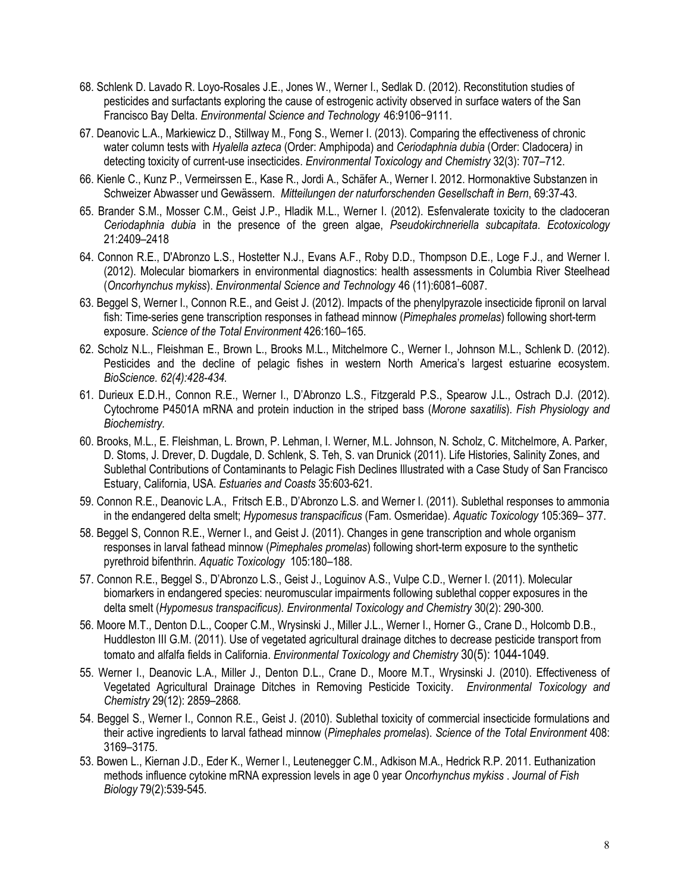- 68. Schlenk D. Lavado R. Loyo-Rosales J.E., Jones W., Werner I., Sedlak D. (2012). Reconstitution studies of pesticides and surfactants exploring the cause of estrogenic activity observed in surface waters of the San Francisco Bay Delta. *Environmental Science and Technology* 46:9106−9111.
- 67. Deanovic L.A., Markiewicz D., Stillway M., Fong S., Werner I. (2013). Comparing the effectiveness of chronic water column tests with *Hyalella azteca* (Order: Amphipoda) and *Ceriodaphnia dubia* (Order: Cladocera*)* in detecting toxicity of current-use insecticides. *Environmental Toxicology and Chemistry* 32(3): 707–712.
- 66. Kienle C., Kunz P., Vermeirssen E., Kase R., Jordi A., Schäfer A., Werner I. 2012. Hormonaktive Substanzen in Schweizer Abwasser und Gewässern. *Mitteilungen der naturforschenden Gesellschaft in Bern*, 69:37-43.
- 65. Brander S.M., Mosser C.M., Geist J.P., Hladik M.L., Werner I. (2012). Esfenvalerate toxicity to the cladoceran *Ceriodaphnia dubia* in the presence of the green algae, *Pseudokirchneriella subcapitata*. *Ecotoxicology*  21:2409–2418
- 64. Connon R.E., D'Abronzo L.S., Hostetter N.J., Evans A.F., Roby D.D., Thompson D.E., Loge F.J., and Werner I. (2012). Molecular biomarkers in environmental diagnostics: health assessments in Columbia River Steelhead (*Oncorhynchus mykiss*). *Environmental Science and Technology* 46 (11):6081–6087.
- 63. Beggel S, Werner I., Connon R.E., and Geist J. (2012). Impacts of the phenylpyrazole insecticide fipronil on larval fish: Time-series gene transcription responses in fathead minnow (*Pimephales promelas*) following short-term exposure. *Science of the Total Environment* 426:160–165.
- 62. Scholz N.L., Fleishman E., Brown L., Brooks M.L., Mitchelmore C., Werner I., Johnson M.L., Schlenk D. (2012). Pesticides and the decline of pelagic fishes in western North America's largest estuarine ecosystem. *BioScience. 62(4):428-434.*
- 61. Durieux E.D.H., Connon R.E., Werner I., D'Abronzo L.S., Fitzgerald P.S., Spearow J.L., Ostrach D.J. (2012). Cytochrome P4501A mRNA and protein induction in the striped bass (*Morone saxatilis*). *Fish Physiology and Biochemistry.*
- 60. Brooks, M.L., E. Fleishman, L. Brown, P. Lehman, I. Werner, M.L. Johnson, N. Scholz, C. Mitchelmore, A. Parker, D. Stoms, J. Drever, D. Dugdale, D. Schlenk, S. Teh, S. van Drunick (2011). Life Histories, Salinity Zones, and Sublethal Contributions of Contaminants to Pelagic Fish Declines Illustrated with a Case Study of San Francisco Estuary, California, USA. *Estuaries and Coasts* 35:603-621*.*
- 59. Connon R.E., Deanovic L.A., Fritsch E.B., D'Abronzo L.S. and Werner I. (2011). Sublethal responses to ammonia in the endangered delta smelt; *Hypomesus transpacificus* (Fam. Osmeridae). *Aquatic Toxicology* 105:369– 377.
- 58. Beggel S, Connon R.E., Werner I., and Geist J. (2011). Changes in gene transcription and whole organism responses in larval fathead minnow (*Pimephales promelas*) following short-term exposure to the synthetic pyrethroid bifenthrin. *Aquatic Toxicology* 105:180–188.
- 57. Connon R.E., Beggel S., D'Abronzo L.S., Geist J., Loguinov A.S., Vulpe C.D., Werner I. (2011). Molecular biomarkers in endangered species: neuromuscular impairments following sublethal copper exposures in the delta smelt (*Hypomesus transpacificus). Environmental Toxicology and Chemistry* 30(2): 290-300*.*
- 56. Moore M.T., Denton D.L., Cooper C.M., Wrysinski J., Miller J.L., Werner I., Horner G., Crane D., Holcomb D.B., Huddleston III G.M. (2011). Use of vegetated agricultural drainage ditches to decrease pesticide transport from tomato and alfalfa fields in California. *Environmental Toxicology and Chemistry* 30(5): 1044-1049.
- 55. Werner I., Deanovic L.A., Miller J., Denton D.L., Crane D., Moore M.T., Wrysinski J. (2010). Effectiveness of Vegetated Agricultural Drainage Ditches in Removing Pesticide Toxicity. *Environmental Toxicology and Chemistry* 29(12): 2859–2868*.*
- 54. Beggel S., Werner I., Connon R.E., Geist J. (2010). Sublethal toxicity of commercial insecticide formulations and their active ingredients to larval fathead minnow (*Pimephales promelas*). *Science of the Total Environment* 408: 3169–3175.
- 53. Bowen L., Kiernan J.D., Eder K., Werner I., Leutenegger C.M., Adkison M.A., Hedrick R.P. 2011. [Euthanization](http://apps.webofknowledge.com/full_record.do?product=WOS&search_mode=DaisyMultiClustViewRecords&qid=89&SID=X2F28JCBNnJDJ2N9fbd&page=1&doc=3)  [methods influence cytokine mRNA expression levels in age 0 year](http://apps.webofknowledge.com/full_record.do?product=WOS&search_mode=DaisyMultiClustViewRecords&qid=89&SID=X2F28JCBNnJDJ2N9fbd&page=1&doc=3) *Oncorhynchus mykiss* . *Journal of Fish Biology* 79(2):539-545.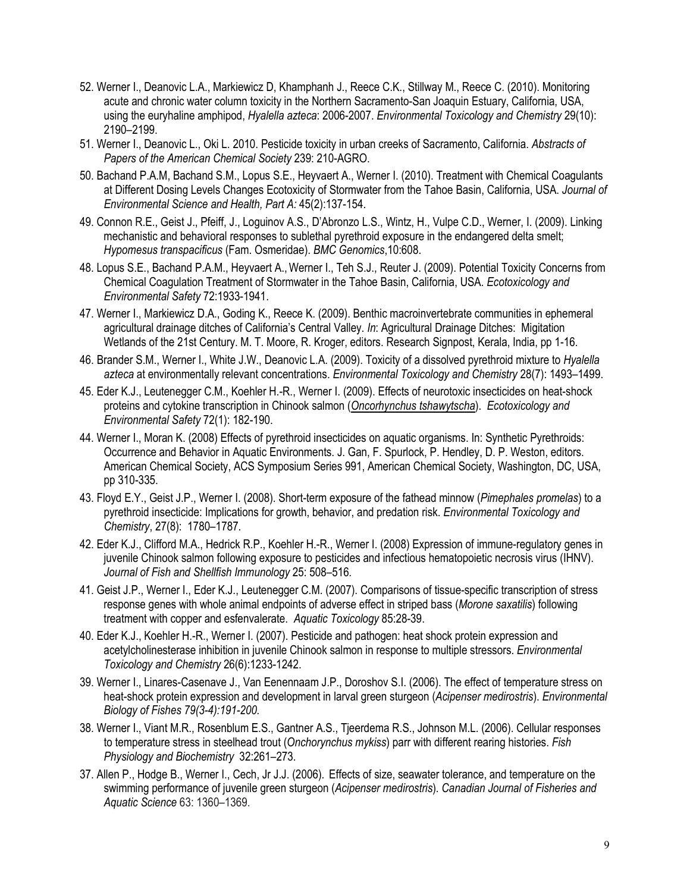- 52. Werner I., Deanovic L.A., Markiewicz D, Khamphanh J., Reece C.K., Stillway M., Reece C. (2010). Monitoring acute and chronic water column toxicity in the Northern Sacramento-San Joaquin Estuary, California, USA, using the euryhaline amphipod, *Hyalella azteca*: 2006-2007. *Environmental Toxicology and Chemistry* 29(10): 2190–2199.
- 51. Werner I., Deanovic L., Oki L. 2010. [Pesticide toxicity in urban creeks of Sacramento, California.](http://apps.webofknowledge.com/full_record.do?product=WOS&search_mode=DaisyMultiClustViewRecords&qid=89&SID=X2F28JCBNnJDJ2N9fbd&page=1&doc=9) *Abstracts of Papers of the American Chemical Society* 239: 210-AGRO.
- 50. Bachand P.A.M, Bachand S.M., Lopus S.E., Heyvaert A., Werner I. (2010). Treatment with Chemical Coagulants at Different Dosing Levels Changes Ecotoxicity of Stormwater from the Tahoe Basin, California, USA. *Journal of Environmental Science and Health, Part A:* 45(2):137-154.
- 49. Connon R.E., Geist J., Pfeiff, J., Loguinov A.S., D'Abronzo L.S., Wintz, H., Vulpe C.D., Werner, I. (2009). Linking mechanistic and behavioral responses to sublethal pyrethroid exposure in the endangered delta smelt; *Hypomesus transpacificus* (Fam. Osmeridae). *BMC Genomics*,10:608.
- 48. Lopus S.E., Bachand P.A.M., Heyvaert A., Werner I., Teh S.J., Reuter J. (2009). Potential Toxicity Concerns from Chemical Coagulation Treatment of Stormwater in the Tahoe Basin, California, USA. *Ecotoxicology and Environmental Safety* 72:1933-1941.
- 47. Werner I., Markiewicz D.A., Goding K., Reece K. (2009). Benthic macroinvertebrate communities in ephemeral agricultural drainage ditches of California's Central Valley. *In*: Agricultural Drainage Ditches: Migitation Wetlands of the 21st Century. M. T. Moore, R. Kroger, editors. Research Signpost, Kerala, India, pp 1-16.
- 46. Brander S.M., Werner I., White J.W., Deanovic L.A. (2009). Toxicity of a dissolved pyrethroid mixture to *Hyalella azteca* at environmentally relevant concentrations. *Environmental Toxicology and Chemistry* 28(7): 1493–1499.
- 45. Eder K.J., Leutenegger C.M., Koehler H.-R., Werner I. (2009). Effects of neurotoxic insecticides on heat-shock proteins and cytokine transcription in Chinook salmon (*Oncorhynchus tshawytscha*). *Ecotoxicology and Environmental Safety* [72\(](http://www.sciencedirect.com/science?_ob=PublicationURL&_tockey=%23TOC%236770%232009%23999279998%23700187%23FLA%23&_cdi=6770&_pubType=J&view=c&_auth=y&_acct=C000059598&_version=1&_urlVersion=0&_userid=4421&md5=e5bf3d69554b143936b74e8c262d240f)1): 182-190.
- 44. Werner I., Moran K. (2008) Effects of pyrethroid insecticides on aquatic organisms. In: Synthetic Pyrethroids: Occurrence and Behavior in Aquatic Environments. J. Gan, F. Spurlock, P. Hendley, D. P. Weston, editors. American Chemical Society, ACS Symposium Series 991, American Chemical Society, Washington, DC, USA, pp 310-335.
- 43. Floyd E.Y., Geist J.P., Werner I. (2008). Short-term exposure of the fathead minnow (*Pimephales promelas*) to a pyrethroid insecticide: Implications for growth, behavior, and predation risk. *Environmental Toxicology and Chemistry*, 27(8): 1780–1787.
- 42. Eder K.J., Clifford M.A., Hedrick R.P., Koehler H.-R., Werner I. (2008) Expression of immune-regulatory genes in juvenile Chinook salmon following exposure to pesticides and infectious hematopoietic necrosis virus (IHNV). *Journal of Fish and Shellfish Immunology* 25: 508–516*.*
- 41. Geist J.P., Werner I., Eder K.J., Leutenegger C.M. (2007). Comparisons of tissue-specific transcription of stress response genes with whole animal endpoints of adverse effect in striped bass (*Morone saxatilis*) following treatment with copper and esfenvalerate. *Aquatic Toxicology* 85:28-39.
- 40. Eder K.J., Koehler H.-R., Werner I. (2007). Pesticide and pathogen: heat shock protein expression and acetylcholinesterase inhibition in juvenile Chinook salmon in response to multiple stressors. *Environmental Toxicology and Chemistry* 26(6):1233-1242.
- 39. Werner I., Linares-Casenave J., Van Eenennaam J.P., Doroshov S.I. (2006). The effect of temperature stress on heat-shock protein expression and development in larval green sturgeon (*Acipenser medirostris*). *Environmental Biology of Fishes 79(3-4):191-200.*
- 38. Werner I., Viant M.R., Rosenblum E.S., Gantner A.S., Tjeerdema R.S., Johnson M.L. (2006). Cellular responses to temperature stress in steelhead trout (*Onchorynchus mykiss*) parr with different rearing histories. *Fish Physiology and Biochemistry* 32:261–273.
- 37. Allen P., Hodge B., Werner I., Cech, Jr J.J. (2006). Effects of size, seawater tolerance, and temperature on the swimming performance of juvenile green sturgeon (*Acipenser medirostris*). *Canadian Journal of Fisheries and Aquatic Science* 63: 1360–1369.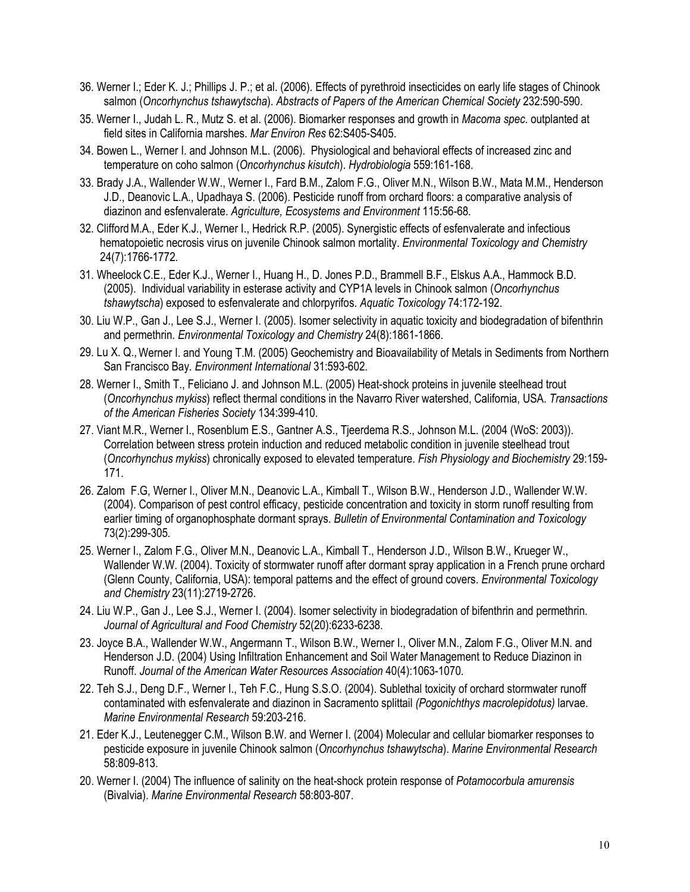- 36. Werner I.; Eder K. J.; Phillips J. P.; et al. (2006). Effects of pyrethroid insecticides on early life stages of Chinook salmon (*Oncorhynchus tshawytscha*). *Abstracts of Papers of the American Chemical Society* 232:590-590.
- 35. Werner I., Judah L. R., Mutz S. et al. (2006). Biomarker responses and growth in *Macoma spec*. outplanted at field sites in California marshes. *Mar Environ Res* 62:S405-S405.
- 34. Bowen L., Werner I. and Johnson M.L. (2006). Physiological and behavioral effects of increased zinc and temperature on coho salmon (*Oncorhynchus kisutch*). *Hydrobiologia* 559:161-168.
- 33. Brady J.A., Wallender W.W., Werner I., Fard B.M., Zalom F.G., Oliver M.N., Wilson B.W., Mata M.M., Henderson J.D., Deanovic L.A., Upadhaya S. (2006). Pesticide runoff from orchard floors: a comparative analysis of diazinon and esfenvalerate. *Agriculture, Ecosystems and Environment* 115:56-68*.*
- 32. Clifford M.A., Eder K.J., Werner I., Hedrick R.P. (2005). Synergistic effects of esfenvalerate and infectious hematopoietic necrosis virus on juvenile Chinook salmon mortality. *Environmental Toxicology and Chemistry*  24(7):1766-1772*.*
- 31. Wheelock C.E., Eder K.J., Werner I., Huang H., D. Jones P.D., Brammell B.F., Elskus A.A., Hammock B.D. (2005). Individual variability in esterase activity and CYP1A levels in Chinook salmon (*Oncorhynchus tshawytscha*) exposed to esfenvalerate and chlorpyrifos. *Aquatic Toxicology* 74:172-192.
- 30. Liu W.P., Gan J., Lee S.J., Werner I. (2005). Isomer selectivity in aquatic toxicity and biodegradation of bifenthrin and permethrin*. Environmental Toxicology and Chemistry* 24(8):1861-1866.
- 29. Lu X. Q., Werner I. and Young T.M. (2005) Geochemistry and Bioavailability of Metals in Sediments from Northern San Francisco Bay*. Environment International* 31:593-602.
- 28. Werner I., Smith T., Feliciano J. and Johnson M.L. (2005) Heat-shock proteins in juvenile steelhead trout (*Oncorhynchus mykiss*) reflect thermal conditions in the Navarro River watershed, California, USA. *Transactions of the American Fisheries Society* 134:399-410.
- 27. Viant M.R., Werner I., Rosenblum E.S., Gantner A.S., Tjeerdema R.S., Johnson M.L. (2004 (WoS: 2003)). Correlation between stress protein induction and reduced metabolic condition in juvenile steelhead trout (*Oncorhynchus mykiss*) chronically exposed to elevated temperature. *Fish Physiology and Biochemistry* 29:159- 171.
- 26. Zalom F.G, Werner I., Oliver M.N., Deanovic L.A., Kimball T., Wilson B.W., Henderson J.D., Wallender W.W. (2004). Comparison of pest control efficacy, pesticide concentration and toxicity in storm runoff resulting from earlier timing of organophosphate dormant sprays. *Bulletin of Environmental Contamination and Toxicology*  73(2):299-305*.*
- 25. Werner I., Zalom F.G., Oliver M.N., Deanovic L.A., Kimball T., Henderson J.D., Wilson B.W., Krueger W., Wallender W.W. (2004). Toxicity of stormwater runoff after dormant spray application in a French prune orchard (Glenn County, California, USA): temporal patterns and the effect of ground covers. *Environmental Toxicology and Chemistry* 23(11):2719-2726.
- 24. Liu W.P., Gan J., Lee S.J., Werner I. (2004). Isomer selectivity in biodegradation of bifenthrin and permethrin. *Journal of Agricultural and Food Chemistry* 52(20):6233-6238.
- 23. Joyce B.A., Wallender W.W., Angermann T., Wilson B.W., Werner I., Oliver M.N., Zalom F.G., Oliver M.N. and Henderson J.D. (2004) Using Infiltration Enhancement and Soil Water Management to Reduce Diazinon in Runoff. *Journal of the American Water Resources Association* 40(4):1063-1070.
- 22. Teh S.J., Deng D.F., Werner I., Teh F.C., Hung S.S.O. (2004). Sublethal toxicity of orchard stormwater runoff contaminated with esfenvalerate and diazinon in Sacramento splittail *(Pogonichthys macrolepidotus)* larvae. *Marine Environmental Research* 59:203-216.
- 21. Eder K.J., Leutenegger C.M., Wilson B.W. and Werner I. (2004) Molecular and cellular biomarker responses to pesticide exposure in juvenile Chinook salmon (*Oncorhynchus tshawytscha*). *Marine Environmental Research*  58:809-813.
- 20. Werner I. (2004) The influence of salinity on the heat-shock protein response of *Potamocorbula amurensis*  (Bivalvia). *Marine Environmental Research* 58:803-807.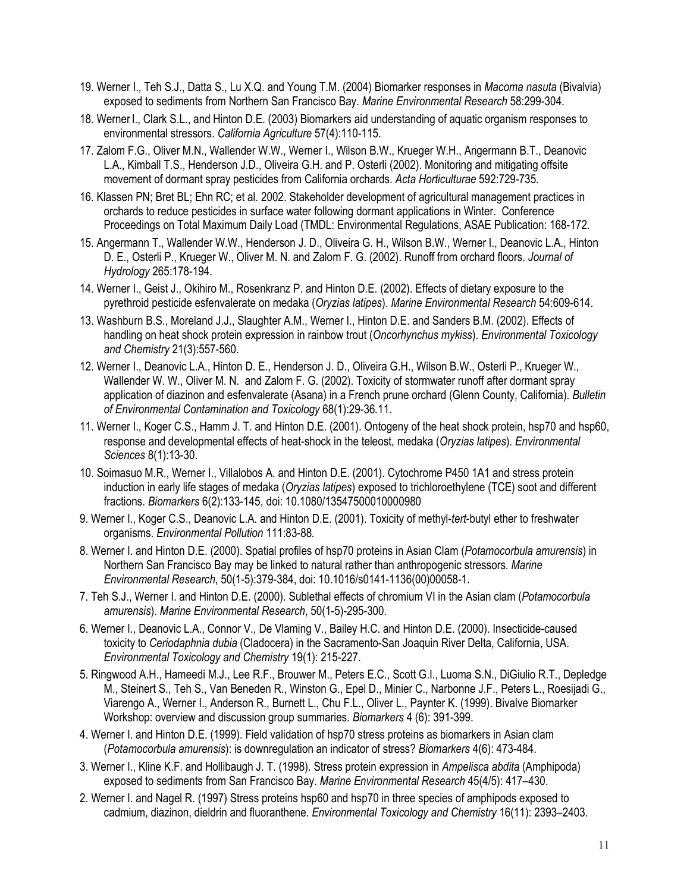- 19. Werner I., Teh S.J., Datta S., Lu X.Q. and Young T.M. (2004) Biomarker responses in *Macoma nasuta* (Bivalvia) exposed to sediments from Northern San Francisco Bay. *Marine Environmental Research* 58:299-304.
- 18. Werner I., Clark S.L., and Hinton D.E. (2003) Biomarkers aid understanding of aquatic organism responses to environmental stressors. *California Agriculture* 57(4):110-115.
- 17. Zalom F.G., Oliver M.N., Wallender W.W., Werner I., Wilson B.W., Krueger W.H., Angermann B.T., Deanovic L.A., Kimball T.S., Henderson J.D., Oliveira G.H. and P. Osterli (2002). Monitoring and mitigating offsite movement of dormant spray pesticides from California orchards. *Acta Horticulturae* 592:729-735*.*
- 16. Klassen PN; Bret BL; Ehn RC; et al. 2002. Stakeholder development of agricultural management practices in orchards to reduce pesticides in surface water following dormant applications in Winter. Conference Proceedings on Total Maximum Daily Load (TMDL: Environmental Regulations, ASAE Publication: 168-172.
- 15. Angermann T., Wallender W.W., Henderson J. D., Oliveira G. H., Wilson B.W., Werner I., Deanovic L.A., Hinton D. E., Osterli P., Krueger W., Oliver M. N. and Zalom F. G. (2002). Runoff from orchard floors. *Journal of Hydrology* 265:178-194.
- 14. Werner I., Geist J., Okihiro M., Rosenkranz P. and Hinton D.E. (2002). Effects of dietary exposure to the pyrethroid pesticide esfenvalerate on medaka (*Oryzias latipes*). *Marine Environmental Research* 54:609-614.
- 13. Washburn B.S., Moreland J.J., Slaughter A.M., Werner I., Hinton D.E. and Sanders B.M. (2002). Effects of handling on heat shock protein expression in rainbow trout (*Oncorhynchus mykiss*). *Environmental Toxicology and Chemistry* 21(3):557-560.
- 12. Werner I., Deanovic L.A., Hinton D. E., Henderson J. D., Oliveira G.H., Wilson B.W., Osterli P., Krueger W., Wallender W. W., Oliver M. N. and Zalom F. G. (2002). Toxicity of stormwater runoff after dormant spray application of diazinon and esfenvalerate (Asana) in a French prune orchard (Glenn County, California). *Bulletin of Environmental Contamination and Toxicology* [68\(1\):29-36](https://68(1):29-36.11)*.*11.
- 11. Werner I., Koger C.S., Hamm J. T. and Hinton D.E. (2001). Ontogeny of the heat shock protein, hsp70 and hsp60, response and developmental effects of heat-shock in the teleost, medaka (*Oryzias latipes*). *Environmental Sciences* 8(1):13-30.
- 10. Soimasuo M.R., Werner I., Villalobos A. and Hinton D.E. (2001). Cytochrome P450 1A1 and stress protein induction in early life stages of medaka (*Oryzias latipes*) exposed to trichloroethylene (TCE) soot and different fractions. *Biomarkers* 6(2):133-145, doi: 10.1080/13547500010000980
- 9. Werner I., Koger C.S., Deanovic L.A. and Hinton D.E. (2001). Toxicity of methyl-*tert*-butyl ether to freshwater organisms. *Environmental Pollution* 111:83-88*.*
- 8. Werner I. and Hinton D.E. (2000). Spatial profiles of hsp70 proteins in Asian Clam (*Potamocorbula amurensis*) in Northern San Francisco Bay may be linked to natural rather than anthropogenic stressors. *Marine Environmental Research*, 50(1-5):379-384, doi: 10.1016/s0141-1136(00)00058-1*.*
- 7. Teh S.J., Werner I. and Hinton D.E. (2000). Sublethal effects of chromium VI in the Asian clam (*Potamocorbula amurensis*). *Marine Environmental Research*, 50(1-5)-295-300*.*
- 6. Werner I., Deanovic L.A., Connor V., De Vlaming V., Bailey H.C. and Hinton D.E. (2000). Insecticide-caused toxicity to *Ceriodaphnia dubia* (Cladocera) in the Sacramento-San Joaquin River Delta, California, USA. *Environmental Toxicology and Chemistry* 19(1): 215-227.
- 5. Ringwood A.H., Hameedi M.J., Lee R.F., Brouwer M., Peters E.C., Scott G.I., Luoma S.N., DiGiulio R.T., Depledge M., Steinert S., Teh S., Van Beneden R., Winston G., Epel D., Minier C., Narbonne J.F., Peters L., Roesijadi G., Viarengo A., Werner I., Anderson R., Burnett L., Chu F.L., Oliver L., Paynter K. (1999). Bivalve Biomarker Workshop: overview and discussion group summaries. *Biomarkers* 4 (6): 391-399.
- 4. Werner I. and Hinton D.E. (1999). Field validation of hsp70 stress proteins as biomarkers in Asian clam (*Potamocorbula amurensis*): is downregulation an indicator of stress? *Biomarkers* 4(6): 473-484.
- 3. Werner I., Kline K.F. and Hollibaugh J. T. (1998). Stress protein expression in *Ampelisca abdita* (Amphipoda) exposed to sediments from San Francisco Bay. *Marine Environmental Research* 45(4/5): 417–430.
- 2. Werner I. and Nagel R. (1997) Stress proteins hsp60 and hsp70 in three species of amphipods exposed to cadmium, diazinon, dieldrin and fluoranthene. *Environmental Toxicology and Chemistry* 16(11): 2393–2403.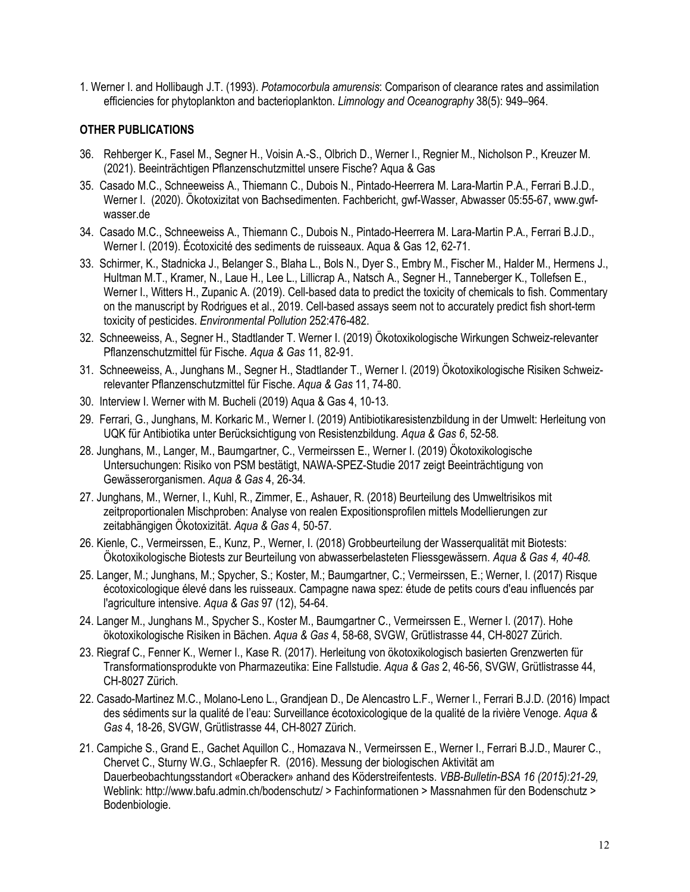1. Werner I. and Hollibaugh J.T. (1993). *Potamocorbula amurensis*: Comparison of clearance rates and assimilation efficiencies for phytoplankton and bacterioplankton. *Limnology and Oceanography* 38(5): 949–964.

#### **OTHER PUBLICATIONS**

- 36. Rehberger K., Fasel M., Segner H., Voisin A.-S., Olbrich D., Werner I., Regnier M., Nicholson P., Kreuzer M. (2021). Beeinträchtigen Pflanzenschutzmittel unsere Fische? Aqua & Gas
- 35. Casado M.C., Schneeweiss A., Thiemann C., Dubois N., Pintado-Heerrera M. Lara-Martin P.A., Ferrari B.J.D., Werner I. (2020). Ökotoxizitat von Bachsedimenten. Fachbericht, gwf-Wasser, Abwasser 05:55-67, www.gwf[wasser.de](https://wasser.de)
- 34. Casado M.C., Schneeweiss A., Thiemann C., Dubois N., Pintado-Heerrera M. Lara-Martin P.A., Ferrari B.J.D., Werner I. (2019). Écotoxicité des sediments de ruisseaux. Aqua & Gas 12, 62-71.
- 33. Schirmer, K., Stadnicka J., Belanger S., Blaha L., Bols N., Dyer S., Embry M., Fischer M., Halder M., Hermens J., Hultman M.T., Kramer, N., Laue H., Lee L., Lillicrap A., Natsch A., Segner H., Tanneberger K., Tollefsen E., Werner I., Witters H., Zupanic A. (2019). Cell-based data to predict the toxicity of chemicals to fish. Commentary on the manuscript by Rodrigues et al., 2019. Cell-based assays seem not to accurately predict fish short-term toxicity of pesticides. *Environmental Pollution* 252:476-482.
- 32. Schneeweiss, A., Segner H., Stadtlander T. Werner I. (2019) Ökotoxikologische Wirkungen Schweiz-relevanter Pflanzenschutzmittel für Fische. *Aqua & Gas* 11, 82-91.
- 31. Schneeweiss, A., Junghans M., Segner H., Stadtlander T., Werner I. (2019) Ökotoxikologische Risiken Schweizrelevanter Pflanzenschutzmittel für Fische. *Aqua & Gas* 11, 74-80.
- 30. Interview I. Werner with M. Bucheli (2019) Aqua & Gas 4, 10-13.
- 29. Ferrari, G., Junghans, M. Korkaric M., Werner I. (2019) Antibiotikaresistenzbildung in der Umwelt: Herleitung von UQK für Antibiotika unter Berücksichtigung von Resistenzbildung. *Aqua & Gas 6*, 52-58*.*
- 28. Junghans, M., Langer, M., Baumgartner, C., Vermeirssen E., Werner I. (2019) Ökotoxikologische Untersuchungen: Risiko von PSM bestätigt, NAWA-SPEZ-Studie 2017 zeigt Beeinträchtigung von Gewässerorganismen. *Aqua & Gas* 4, 26-34*.*
- 27. Junghans, M., Werner, I., Kuhl, R., Zimmer, E., Ashauer, R. (2018) Beurteilung des Umweltrisikos mit zeitproportionalen Mischproben: Analyse von realen Expositionsprofilen mittels Modellierungen zur zeitabhängigen Ökotoxizität. *Aqua & Gas* 4, 50-57*.*
- 26. Kienle, C., Vermeirssen, E., Kunz, P., Werner, I. (2018) Grobbeurteilung der Wasserqualität mit Biotests: Ökotoxikologische Biotests zur Beurteilung von abwasserbelasteten Fliessgewässern. *Aqua & Gas 4, 40-48.*
- 25. Langer, M.; Junghans, M.; Spycher, S.; Koster, M.; Baumgartner, C.; Vermeirssen, E.; Werner, I. (2017) Risque écotoxicologique élevé dans les ruisseaux. Campagne nawa spez: étude de petits cours d'eau influencés par l'agriculture intensive. *Aqua & Gas* 97 (12), 54-64.
- 24. Langer M., Junghans M., Spycher S., Koster M., Baumgartner C., Vermeirssen E., Werner I. (2017). Hohe ökotoxikologische Risiken in Bächen. *Aqua & Gas* 4, 58-68, SVGW, Grütlistrasse 44, CH-8027 Zürich.
- 23. Riegraf C., Fenner K., Werner I., Kase R. (2017). Herleitung von ökotoxikologisch basierten Grenzwerten für Transformationsprodukte von Pharmazeutika: Eine Fallstudie. *Aqua & Gas* 2, 46-56, SVGW, Grütlistrasse 44, CH-8027 Zürich.
- 22. Casado-Martinez M.C., Molano-Leno L., Grandjean D., De Alencastro L.F., Werner I., Ferrari B.J.D. (2016) Impact des sédiments sur la qualité de l'eau: Surveillance écotoxicologique de la qualité de la rivière Venoge. *Aqua & Gas* 4, 18-26, SVGW, Grütlistrasse 44, CH-8027 Zürich.
- 21. Campiche S., Grand E., Gachet Aquillon C., Homazava N., Vermeirssen E., Werner I., Ferrari B.J.D., Maurer C., Chervet C., Sturny W.G., Schlaepfer R. (2016). Messung der biologischen Aktivität am Dauerbeobachtungsstandort «Oberacker» anhand des Köderstreifentests. *VBB-Bulletin-BSA 16 (2015):21-29,*  Weblink:<http://www.bafu.admin.ch/bodenschutz>/ > Fachinformationen > Massnahmen für den Bodenschutz > Bodenbiologie.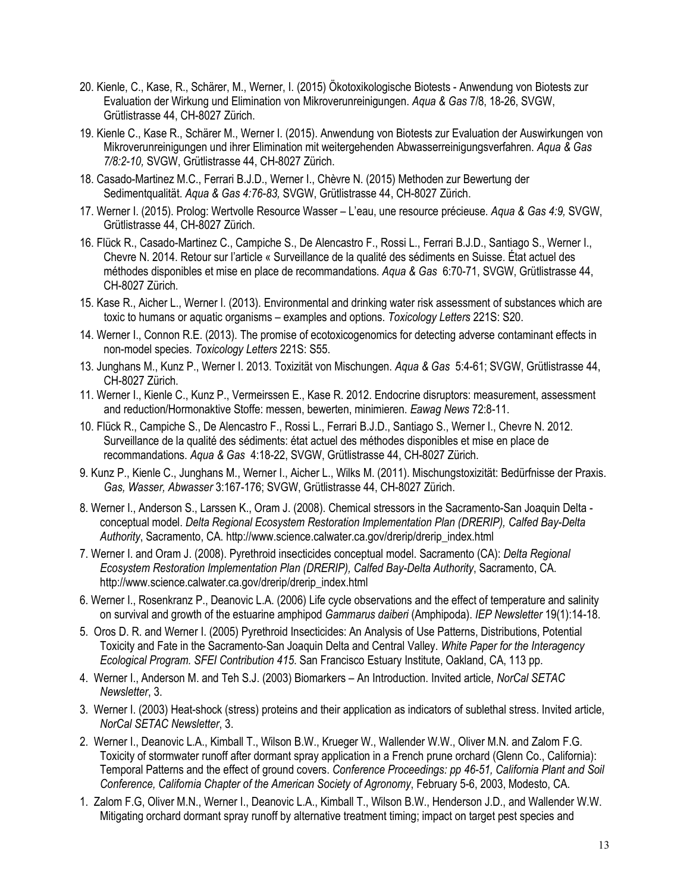- 20. Kienle, C., Kase, R., Schärer, M., Werner, I. (2015) Ökotoxikologische Biotests Anwendung von Biotests zur Evaluation der Wirkung und Elimination von Mikroverunreinigungen. *Aqua & Gas* 7/8, 18-26, SVGW, Grütlistrasse 44, CH-8027 Zürich.
- 19. Kienle C., Kase R., Schärer M., Werner I. (2015). Anwendung von Biotests zur Evaluation der Auswirkungen von Mikroverunreinigungen und ihrer Elimination mit weitergehenden Abwasserreinigungsverfahren. *Aqua & Gas 7/8:2-10,* SVGW, Grütlistrasse 44, CH-8027 Zürich.
- 18. Casado-Martinez M.C., Ferrari B.J.D., Werner I., Chèvre N. (2015) Methoden zur Bewertung der Sedimentqualität. *Aqua & Gas 4:76-83,* SVGW, Grütlistrasse 44, CH-8027 Zürich.
- 17. Werner I. (2015). Prolog: Wertvolle Resource Wasser L'eau, une resource précieuse. *Aqua & Gas 4:9,* SVGW, Grütlistrasse 44, CH-8027 Zürich.
- 16. Flück R., Casado-Martinez C., Campiche S., De Alencastro F., Rossi L., Ferrari B.J.D., Santiago S., Werner I., Chevre N. 2014. Retour sur l'article « Surveillance de la qualité des sédiments en Suisse. État actuel des méthodes disponibles et mise en place de recommandations. *Aqua & Gas* 6:70-71, SVGW, Grütlistrasse 44, CH-8027 Zürich.
- 15. Kase R., Aicher L., Werner I. (2013). Environmental and drinking water risk assessment of substances which are toxic to humans or aquatic organisms – examples and options. *Toxicology Letters* 221S: S20.
- 14. Werner I., Connon R.E. (2013). The promise of ecotoxicogenomics for detecting adverse contaminant effects in non-model species. *Toxicology Letters* 221S: S55.
- 13. Junghans M., Kunz P., Werner I. 2013. Toxizität von Mischungen. *Aqua & Gas* 5:4-61; SVGW, Grütlistrasse 44, CH-8027 Zürich.
- 11. Werner I., Kienle C., Kunz P., Vermeirssen E., Kase R. 2012. Endocrine disruptors: measurement, assessment and reduction/Hormonaktive Stoffe: messen, bewerten, minimieren. *Eawag News* 72:8-11.
- 10. Flück R., Campiche S., De Alencastro F., Rossi L., Ferrari B.J.D., Santiago S., Werner I., Chevre N. 2012. Surveillance de la qualité des sédiments: état actuel des méthodes disponibles et mise en place de recommandations. *Aqua & Gas* 4:18-22, SVGW, Grütlistrasse 44, CH-8027 Zürich.
- 9. Kunz P., Kienle C., Junghans M., Werner I., Aicher L., Wilks M. (2011). Mischungstoxizität: Bedürfnisse der Praxis. *Gas, Wasser, Abwasser* 3:167-176; SVGW, Grütlistrasse 44, CH-8027 Zürich.
- 8. Werner I., Anderson S., Larssen K., Oram J. (2008). Chemical stressors in the Sacramento-San Joaquin Delta conceptual model. *Delta Regional Ecosystem Restoration Implementation Plan (DRERIP), Calfed Bay-Delta Authority*, Sacramento, CA. [http://www.science.calwater.ca.gov/drerip/drerip\\_index.html](http://www.science.calwater.ca.gov/drerip/drerip_index.html)
- 7. Werner I. and Oram J. (2008). Pyrethroid insecticides conceptual model. Sacramento (CA): *Delta Regional Ecosystem Restoration Implementation Plan (DRERIP), Calfed Bay-Delta Authority*, Sacramento, CA. [http://www.science.calwater.ca.gov/drerip/drerip\\_index.html](http://www.science.calwater.ca.gov/drerip/drerip_index.html)
- 6. Werner I., Rosenkranz P., Deanovic L.A. (2006) Life cycle observations and the effect of temperature and salinity on survival and growth of the estuarine amphipod *Gammarus daiberi* (Amphipoda). *IEP Newsletter* 19(1):14-18.
- 5. Oros D. R. and Werner I. (2005) Pyrethroid Insecticides: An Analysis of Use Patterns, Distributions, Potential Toxicity and Fate in the Sacramento-San Joaquin Delta and Central Valley. *White Paper for the Interagency Ecological Program. SFEI Contribution 415*. San Francisco Estuary Institute, Oakland, CA, 113 pp.
- 4. Werner I., Anderson M. and Teh S.J. (2003) Biomarkers An Introduction. Invited article, *NorCal SETAC Newsletter*, 3.
- 3. Werner I. (2003) Heat-shock (stress) proteins and their application as indicators of sublethal stress. Invited article, *NorCal SETAC Newsletter*, 3.
- 2. Werner I., Deanovic L.A., Kimball T., Wilson B.W., Krueger W., Wallender W.W., Oliver M.N. and Zalom F.G. Toxicity of stormwater runoff after dormant spray application in a French prune orchard (Glenn Co., California): Temporal Patterns and the effect of ground covers. *Conference Proceedings: pp 46-51, California Plant and Soil Conference, California Chapter of the American Society of Agronomy*, February 5-6, 2003, Modesto, CA.
- 1. Zalom F.G, Oliver M.N., Werner I., Deanovic L.A., Kimball T., Wilson B.W., Henderson J.D., and Wallender W.W. Mitigating orchard dormant spray runoff by alternative treatment timing; impact on target pest species and